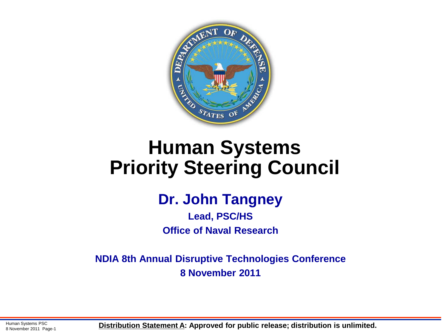

### **Human Systems Priority Steering Council**

#### **Dr. John Tangney**

**Lead, PSC/HS Office of Naval Research**

**NDIA 8th Annual Disruptive Technologies Conference 8 November 2011** 

Human Systems PSC 8 November 2011 Page-1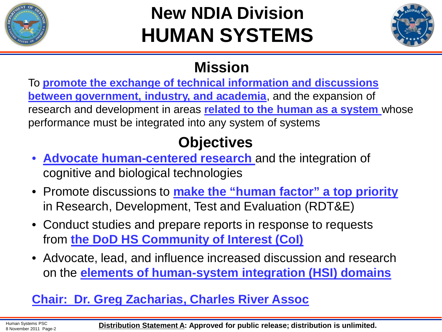

# **New NDIA Division HUMAN SYSTEMS**



#### **Mission**

To **promote the exchange of technical information and discussions between government, industry, and academia**, and the expansion of research and development in areas **related to the human as a system** whose performance must be integrated into any system of systems

### **Objectives**

- **Advocate human-centered research** and the integration of cognitive and biological technologies
- Promote discussions to **make the "human factor" a top priority**  in Research, Development, Test and Evaluation (RDT&E)
- Conduct studies and prepare reports in response to requests from **the DoD HS Community of Interest (CoI)**
- Advocate, lead, and influence increased discussion and research on the **elements of human-system integration (HSI) domains**

#### **Chair: Dr. Greg Zacharias, Charles River Assoc**

Human Systems PSC

Human Systems PSC<br>8 November 2011 Page-2 **Distribution Statement A: Approved for public release; distribution is unlimited.**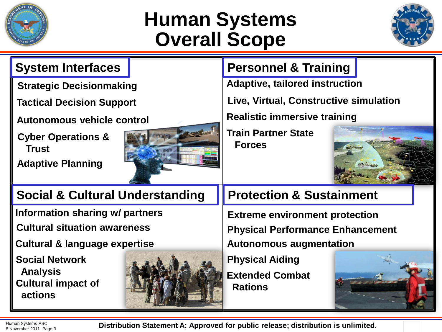

### **Human Systems Overall Scope**



| <b>System Interfaces</b>                      |  | <b>Personnel &amp; Training</b>             |  |
|-----------------------------------------------|--|---------------------------------------------|--|
| <b>Strategic Decisionmaking</b>               |  | <b>Adaptive, tailored instruction</b>       |  |
| <b>Tactical Decision Support</b>              |  | Live, Virtual, Constructive simulation      |  |
| <b>Autonomous vehicle control</b>             |  | <b>Realistic immersive training</b>         |  |
| <b>Cyber Operations &amp;</b><br><b>Trust</b> |  | <b>Train Partner State</b><br><b>Forces</b> |  |
| <b>Adaptive Planning</b>                      |  |                                             |  |
| <b>Social &amp; Cultural Understanding</b>    |  | <b>Protection &amp; Sustainment</b>         |  |
|                                               |  |                                             |  |
| Information sharing w/ partners               |  | <b>Extreme environment protection</b>       |  |
| <b>Cultural situation awareness</b>           |  | <b>Physical Performance Enhancement</b>     |  |
| <b>Cultural &amp; language expertise</b>      |  | <b>Autonomous augmentation</b>              |  |
| <b>Social Network</b><br><b>Analysis</b>      |  | <b>Physical Aiding</b>                      |  |

Human Systems PSC<br>8 November 2011 Page-3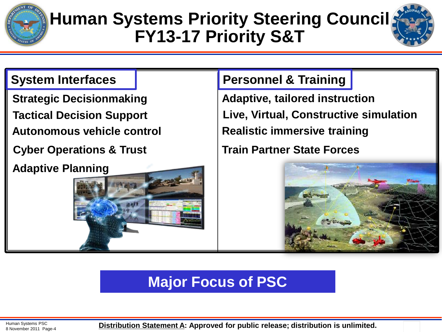

### **Human Systems Priority Steering Council FY13-17 Priority S&T**



**Strategic Decisionmaking Tactical Decision Support**

**Autonomous vehicle control**

**Adaptive Planning**



#### **System Interfaces | Personnel & Training**

**Realistic immersive training Live, Virtual, Constructive simulation Adaptive, tailored instruction**

**Cyber Operations & Trust Train Partner State Forces**



### **Major Focus of PSC**

Human Systems PSC

Human Systems PSC<br>8 November 2011 Page-4 **Distribution Statement A: Approved for public release; distribution is unlimited.**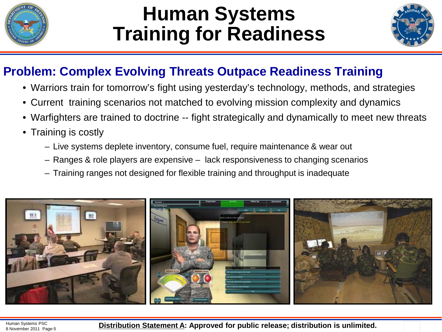

### **Human Systems Training for Readiness**



#### **Problem: Complex Evolving Threats Outpace Readiness Training**

- Warriors train for tomorrow's fight using yesterday's technology, methods, and strategies
- Current training scenarios not matched to evolving mission complexity and dynamics
- Warfighters are trained to doctrine -- fight strategically and dynamically to meet new threats
- Training is costly
	- Live systems deplete inventory, consume fuel, require maintenance & wear out
	- Ranges & role players are expensive lack responsiveness to changing scenarios
	- Training ranges not designed for flexible training and throughput is inadequate

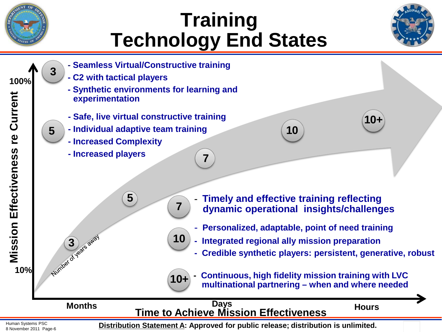

# **Training Technology End States**





8 November 2011 Page-6 **Distribution Statement A: Approved for public release; distribution is unlimited.**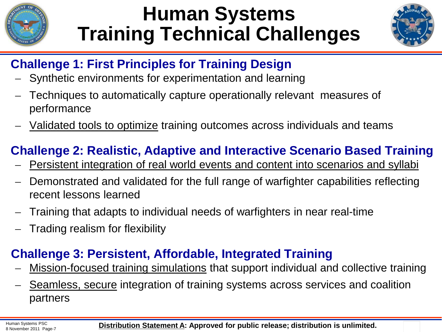

# **Human Systems Training Technical Challenges**



#### **Challenge 1: First Principles for Training Design**

- ̶ Synthetic environments for experimentation and learning
- ̶ Techniques to automatically capture operationally relevant measures of performance
- Validated tools to optimize training outcomes across individuals and teams

#### **Challenge 2: Realistic, Adaptive and Interactive Scenario Based Training**

- ̶ Persistent integration of real world events and content into scenarios and syllabi
- ̶ Demonstrated and validated for the full range of warfighter capabilities reflecting recent lessons learned
- ̶ Training that adapts to individual needs of warfighters in near real-time
- ̶ Trading realism for flexibility

#### **Challenge 3: Persistent, Affordable, Integrated Training**

- Mission-focused training simulations that support individual and collective training
- ̶ Seamless, secure integration of training systems across services and coalition partners

Human Systems PSC

Human Systems PSC **November 2011 Page-7 Distribution Statement A: Approved for public release; distribution is unlimited.**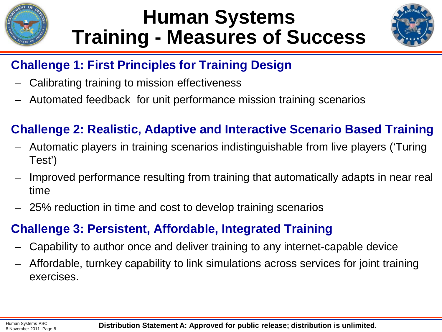

### **Human Systems Training - Measures of Success**



#### **Challenge 1: First Principles for Training Design**

- ̶ Calibrating training to mission effectiveness
- ̶ Automated feedback for unit performance mission training scenarios

#### **Challenge 2: Realistic, Adaptive and Interactive Scenario Based Training**

- ̶ Automatic players in training scenarios indistinguishable from live players ('Turing Test')
- ̶ Improved performance resulting from training that automatically adapts in near real time
- ̶ 25% reduction in time and cost to develop training scenarios

#### **Challenge 3: Persistent, Affordable, Integrated Training**

- ̶ Capability to author once and deliver training to any internet-capable device
- ̶ Affordable, turnkey capability to link simulations across services for joint training exercises.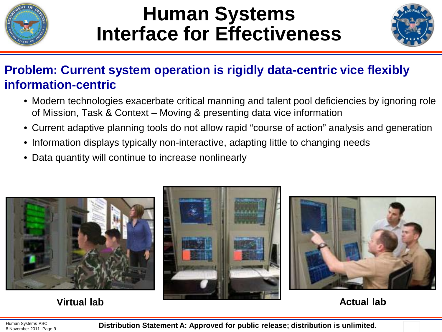

### **Human Systems Interface for Effectiveness**



#### **Problem: Current system operation is rigidly data-centric vice flexibly information-centric**

- Modern technologies exacerbate critical manning and talent pool deficiencies by ignoring role of Mission, Task & Context – Moving & presenting data vice information
- Current adaptive planning tools do not allow rapid "course of action" analysis and generation
- Information displays typically non-interactive, adapting little to changing needs
- Data quantity will continue to increase nonlinearly



**Virtual lab Actual lab Actual lab Actual lab Actual lab** 



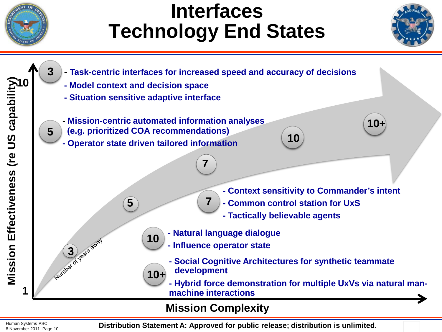

### **Interfaces Technology End States**





Human Systems PSC

Human Systems PSC **Distribution Statement A: Approved for public release; distribution is unlimited.**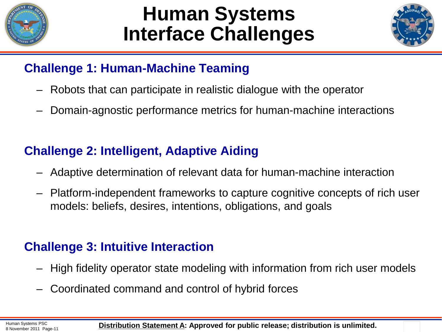

### **Human Systems Interface Challenges**



#### **Challenge 1: Human-Machine Teaming**

- Robots that can participate in realistic dialogue with the operator
- Domain-agnostic performance metrics for human-machine interactions

#### **Challenge 2: Intelligent, Adaptive Aiding**

- Adaptive determination of relevant data for human-machine interaction
- Platform-independent frameworks to capture cognitive concepts of rich user models: beliefs, desires, intentions, obligations, and goals

#### **Challenge 3: Intuitive Interaction**

- High fidelity operator state modeling with information from rich user models
- Coordinated command and control of hybrid forces

Human Systems PSC

Human Systems PSC **November 2011 Page-11 Distribution Statement A: Approved for public release; distribution is unlimited.**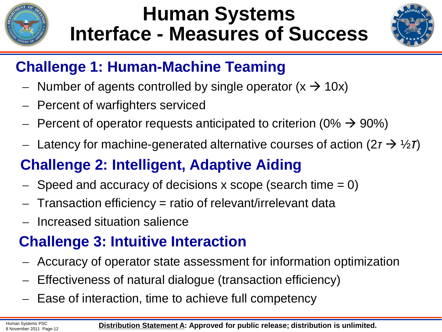

## **Human Systems Interface - Measures of Success**



### **Challenge 1: Human-Machine Teaming**

- Number of agents controlled by single operator  $(x \rightarrow 10x)$
- ̶Percent of warfighters serviced
- Percent of operator requests anticipated to criterion (0%  $\rightarrow$  90%)
- ̶ Latency for machine-generated alternative courses of action (2*τ*  ½*τ*)

### **Challenge 2: Intelligent, Adaptive Aiding**

- $-$  Speed and accuracy of decisions x scope (search time  $= 0$ )
- ̶Transaction efficiency = ratio of relevant/irrelevant data
- ̶ Increased situation salience

### **Challenge 3: Intuitive Interaction**

- ̶Accuracy of operator state assessment for information optimization
- ̶Effectiveness of natural dialogue (transaction efficiency)
- ̶Ease of interaction, time to achieve full competency

Human Systems PSC

Human Systems PSC<br>8 November 2011 Page-12 **Distribution Statement A: Approved for public release; distribution is unlimited.**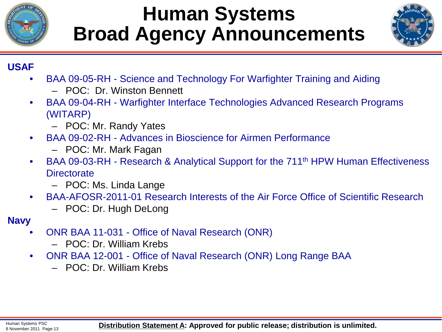

### **Human Systems Broad Agency Announcements**



#### **USAF**

- BAA 09-05-RH Science and Technology For Warfighter Training and Aiding
	- POC: Dr. Winston Bennett
- BAA 09-04-RH Warfighter Interface Technologies Advanced Research Programs (WITARP)
	- POC: Mr. Randy Yates
- BAA 09-02-RH Advances in Bioscience for Airmen Performance
	- POC: Mr. Mark Fagan
- BAA 09-03-RH Research & Analytical Support for the 711th HPW Human Effectiveness **Directorate** 
	- POC: Ms. Linda Lange
- BAA-AFOSR-2011-01 Research Interests of the Air Force Office of Scientific Research
	- POC: Dr. Hugh DeLong
- **Navy**
	- ONR BAA 11-031 Office of Naval Research (ONR)
		- POC: Dr. William Krebs
	- ONR BAA 12-001 Office of Naval Research (ONR) Long Range BAA
		- POC: Dr. William Krebs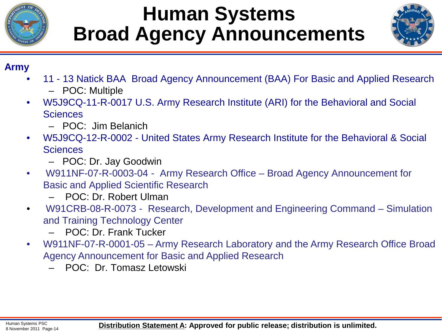

## **Human Systems Broad Agency Announcements**



#### **Army**

- 11 13 Natick BAA Broad Agency Announcement (BAA) For Basic and Applied Research
	- POC: Multiple
- W5J9CQ-11-R-0017 U.S. Army Research Institute (ARI) for the Behavioral and Social **Sciences** 
	- POC: Jim Belanich
- W5J9CQ-12-R-0002 United States Army Research Institute for the Behavioral & Social **Sciences** 
	- POC: Dr. Jay Goodwin
- W911NF-07-R-0003-04 Army Research Office Broad Agency Announcement for Basic and Applied Scientific Research
	- POC: Dr. Robert Ulman
- W91CRB-08-R-0073 Research, Development and Engineering Command Simulation and Training Technology Center
	- POC: Dr. Frank Tucker
- W911NF-07-R-0001-05 Army Research Laboratory and the Army Research Office Broad Agency Announcement for Basic and Applied Research
	- POC: Dr. Tomasz Letowski